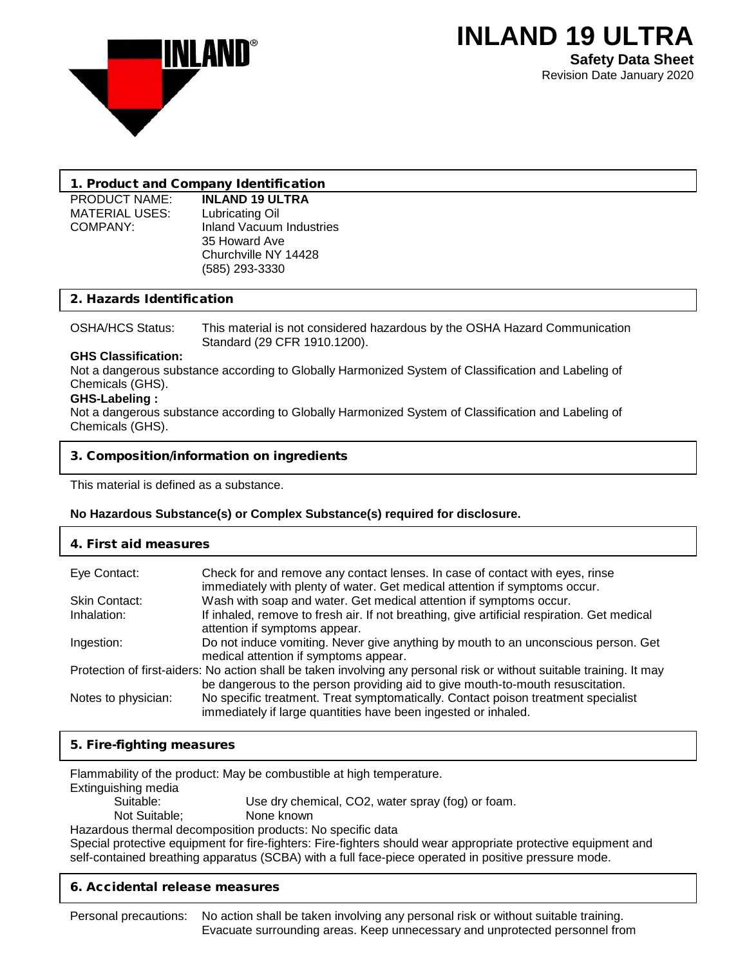

# 1. Product and Company Identification

MATERIAL USES:<br>COMPANY:

PRODUCT NAME: **INLAND 19 ULTRA** Inland Vacuum Industries 35 Howard Ave Churchville NY 14428 (585) 293-3330

# 2. Hazards Identification

OSHA/HCS Status: This material is not considered hazardous by the OSHA Hazard Communication Standard (29 CFR 1910.1200).

## **GHS Classification:**

Not a dangerous substance according to Globally Harmonized System of Classification and Labeling of Chemicals (GHS).

# **GHS-Labeling :**

Not a dangerous substance according to Globally Harmonized System of Classification and Labeling of Chemicals (GHS).

# 3. Composition/information on ingredients

This material is defined as a substance.

# **No Hazardous Substance(s) or Complex Substance(s) required for disclosure.**

| 4. First aid measures                                                                                                 |                                                                                                                                                     |  |
|-----------------------------------------------------------------------------------------------------------------------|-----------------------------------------------------------------------------------------------------------------------------------------------------|--|
| Eye Contact:                                                                                                          | Check for and remove any contact lenses. In case of contact with eyes, rinse                                                                        |  |
| <b>Skin Contact:</b>                                                                                                  | immediately with plenty of water. Get medical attention if symptoms occur.<br>Wash with soap and water. Get medical attention if symptoms occur.    |  |
| Inhalation:                                                                                                           | If inhaled, remove to fresh air. If not breathing, give artificial respiration. Get medical<br>attention if symptoms appear.                        |  |
| Ingestion:                                                                                                            | Do not induce vomiting. Never give anything by mouth to an unconscious person. Get<br>medical attention if symptoms appear.                         |  |
| Protection of first-aiders: No action shall be taken involving any personal risk or without suitable training. It may |                                                                                                                                                     |  |
|                                                                                                                       | be dangerous to the person providing aid to give mouth-to-mouth resuscitation.                                                                      |  |
| Notes to physician:                                                                                                   | No specific treatment. Treat symptomatically. Contact poison treatment specialist<br>immediately if large quantities have been ingested or inhaled. |  |

# 5. Fire-fighting measures

Flammability of the product: May be combustible at high temperature.

Extinguishing media

Use dry chemical, CO2, water spray (fog) or foam.

Not Suitable; None known

Hazardous thermal decomposition products: No specific data

Special protective equipment for fire-fighters: Fire-fighters should wear appropriate protective equipment and self-contained breathing apparatus (SCBA) with a full face-piece operated in positive pressure mode.

# 6. Accidental release measures

Personal precautions: No action shall be taken involving any personal risk or without suitable training. Evacuate surrounding areas. Keep unnecessary and unprotected personnel from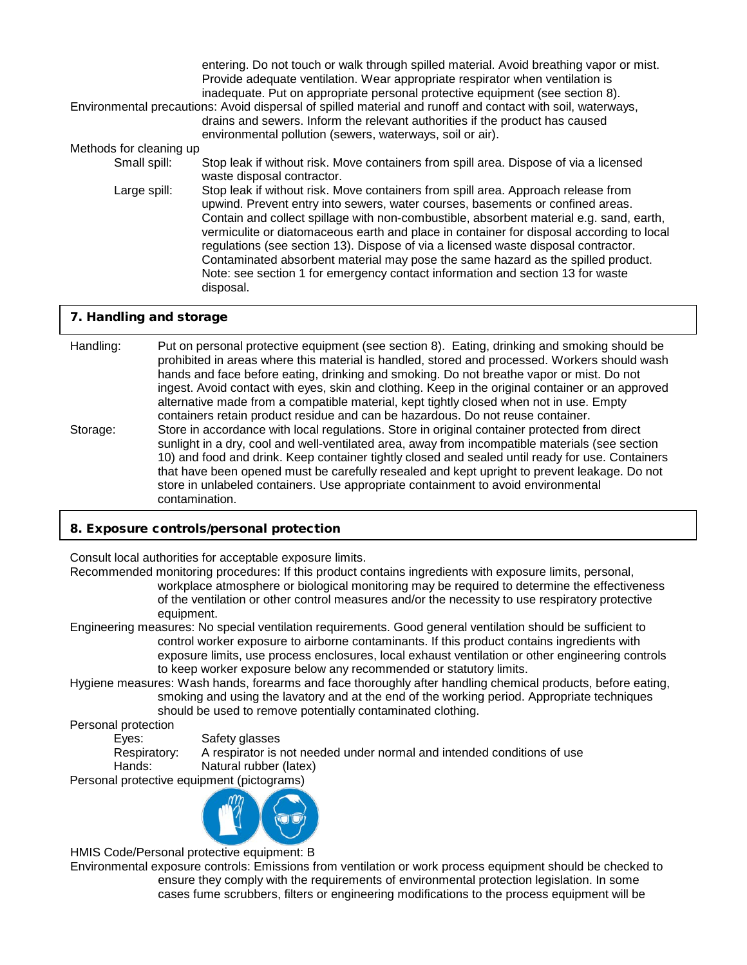|                         | entering. Do not touch or walk through spilled material. Avoid breathing vapor or mist.<br>Provide adequate ventilation. Wear appropriate respirator when ventilation is<br>inadequate. Put on appropriate personal protective equipment (see section 8).<br>Environmental precautions: Avoid dispersal of spilled material and runoff and contact with soil, waterways,<br>drains and sewers. Inform the relevant authorities if the product has caused                                                                                                                                                                            |
|-------------------------|-------------------------------------------------------------------------------------------------------------------------------------------------------------------------------------------------------------------------------------------------------------------------------------------------------------------------------------------------------------------------------------------------------------------------------------------------------------------------------------------------------------------------------------------------------------------------------------------------------------------------------------|
|                         | environmental pollution (sewers, waterways, soil or air).                                                                                                                                                                                                                                                                                                                                                                                                                                                                                                                                                                           |
| Methods for cleaning up |                                                                                                                                                                                                                                                                                                                                                                                                                                                                                                                                                                                                                                     |
| Small spill:            | Stop leak if without risk. Move containers from spill area. Dispose of via a licensed<br>waste disposal contractor.                                                                                                                                                                                                                                                                                                                                                                                                                                                                                                                 |
| Large spill:            | Stop leak if without risk. Move containers from spill area. Approach release from<br>upwind. Prevent entry into sewers, water courses, basements or confined areas.<br>Contain and collect spillage with non-combustible, absorbent material e.g. sand, earth,<br>vermiculite or diatomaceous earth and place in container for disposal according to local<br>regulations (see section 13). Dispose of via a licensed waste disposal contractor.<br>Contaminated absorbent material may pose the same hazard as the spilled product.<br>Note: see section 1 for emergency contact information and section 13 for waste<br>disposal. |

## 7. Handling and storage

Handling: Put on personal protective equipment (see section 8). Eating, drinking and smoking should be prohibited in areas where this material is handled, stored and processed. Workers should wash hands and face before eating, drinking and smoking. Do not breathe vapor or mist. Do not ingest. Avoid contact with eyes, skin and clothing. Keep in the original container or an approved alternative made from a compatible material, kept tightly closed when not in use. Empty containers retain product residue and can be hazardous. Do not reuse container. Storage: Store in accordance with local regulations. Store in original container protected from direct sunlight in a dry, cool and well-ventilated area, away from incompatible materials (see section 10) and food and drink. Keep container tightly closed and sealed until ready for use. Containers that have been opened must be carefully resealed and kept upright to prevent leakage. Do not store in unlabeled containers. Use appropriate containment to avoid environmental contamination.

## 8. Exposure controls/personal protection

Consult local authorities for acceptable exposure limits.

Recommended monitoring procedures: If this product contains ingredients with exposure limits, personal, workplace atmosphere or biological monitoring may be required to determine the effectiveness of the ventilation or other control measures and/or the necessity to use respiratory protective equipment.

- Engineering measures: No special ventilation requirements. Good general ventilation should be sufficient to control worker exposure to airborne contaminants. If this product contains ingredients with exposure limits, use process enclosures, local exhaust ventilation or other engineering controls to keep worker exposure below any recommended or statutory limits.
- Hygiene measures: Wash hands, forearms and face thoroughly after handling chemical products, before eating, smoking and using the lavatory and at the end of the working period. Appropriate techniques should be used to remove potentially contaminated clothing.

Personal protection

Eyes: Safety glasses

Respiratory: A respirator is not needed under normal and intended conditions of use Hands: Natural rubber (latex)

Personal protective equipment (pictograms)



HMIS Code/Personal protective equipment: B

Environmental exposure controls: Emissions from ventilation or work process equipment should be checked to ensure they comply with the requirements of environmental protection legislation. In some cases fume scrubbers, filters or engineering modifications to the process equipment will be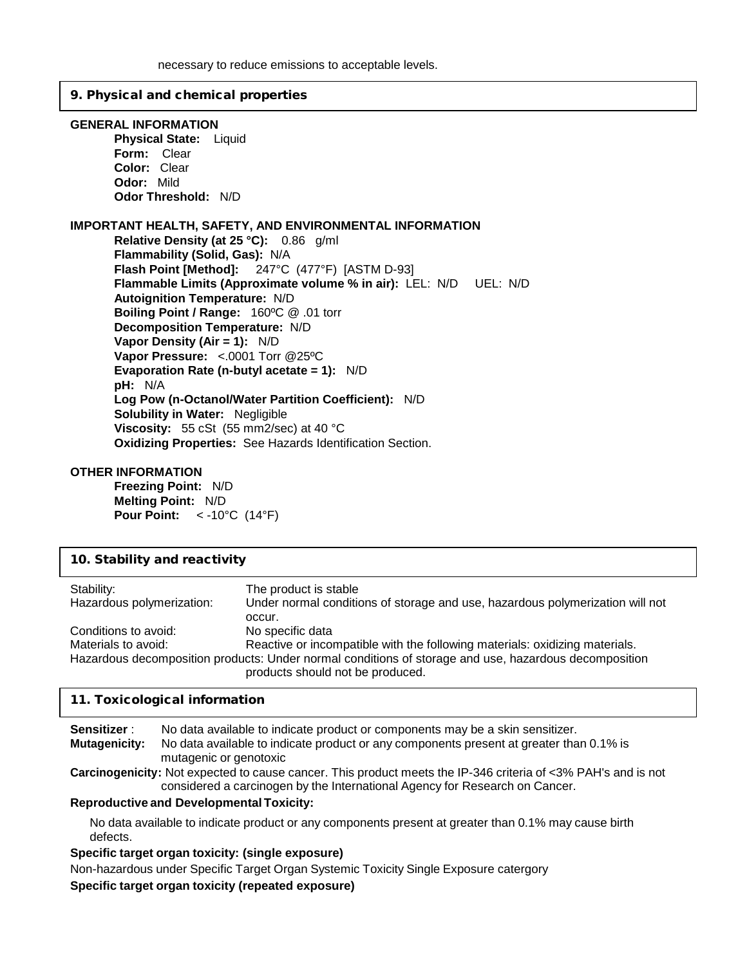#### 9. Physical and chemical properties

#### **GENERAL INFORMATION**

**Physical State:** Liquid **Form:** Clear **Color:** Clear **Odor:** Mild **Odor Threshold:** N/D

#### **IMPORTANT HEALTH, SAFETY, AND ENVIRONMENTAL INFORMATION**

**Relative Density (at 25 °C):** 0.86 g/ml **Flammability (Solid, Gas):** N/A **Flash Point [Method]:** 247°C (477°F) [ASTM D-93] **Flammable Limits (Approximate volume % in air):** LEL: N/D UEL: N/D **Autoignition Temperature:** N/D **Boiling Point / Range:** 160ºC @ .01 torr **Decomposition Temperature:** N/D **Vapor Density (Air = 1):** N/D **Vapor Pressure:** <.0001 Torr @25ºC **Evaporation Rate (n-butyl acetate = 1):** N/D **pH:** N/A **Log Pow (n-Octanol/Water Partition Coefficient):** N/D **Solubility in Water:** Negligible **Viscosity:** 55 cSt (55 mm2/sec) at 40 °C **Oxidizing Properties:** See Hazards Identification Section.

#### **OTHER INFORMATION**

**Freezing Point:** N/D **Melting Point:** N/D **Pour Point:** < -10°C (14°F)

| 10. Stability and reactivity |                                                                                                                                           |  |
|------------------------------|-------------------------------------------------------------------------------------------------------------------------------------------|--|
| Stability:                   | The product is stable                                                                                                                     |  |
| Hazardous polymerization:    | Under normal conditions of storage and use, hazardous polymerization will not<br>occur.                                                   |  |
| Conditions to avoid:         | No specific data                                                                                                                          |  |
| Materials to avoid:          | Reactive or incompatible with the following materials: oxidizing materials.                                                               |  |
|                              | Hazardous decomposition products: Under normal conditions of storage and use, hazardous decomposition<br>products should not be produced. |  |

## 11. Toxicological information

**Sensitizer** : No data available to indicate product or components may be a skin sensitizer. **Mutagenicity:** No data available to indicate product or any components present at greater than 0.1% is mutagenic or genotoxic

**Carcinogenicity:** Not expected to cause cancer. This product meets the IP-346 criteria of <3% PAH's and is not considered a carcinogen by the International Agency for Research on Cancer.

#### **Reproductive and Developmental Toxicity:**

No data available to indicate product or any components present at greater than 0.1% may cause birth defects.

## **Specific target organ toxicity: (single exposure)**

Non-hazardous under Specific Target Organ Systemic Toxicity Single Exposure catergory **Specific target organ toxicity (repeated exposure)**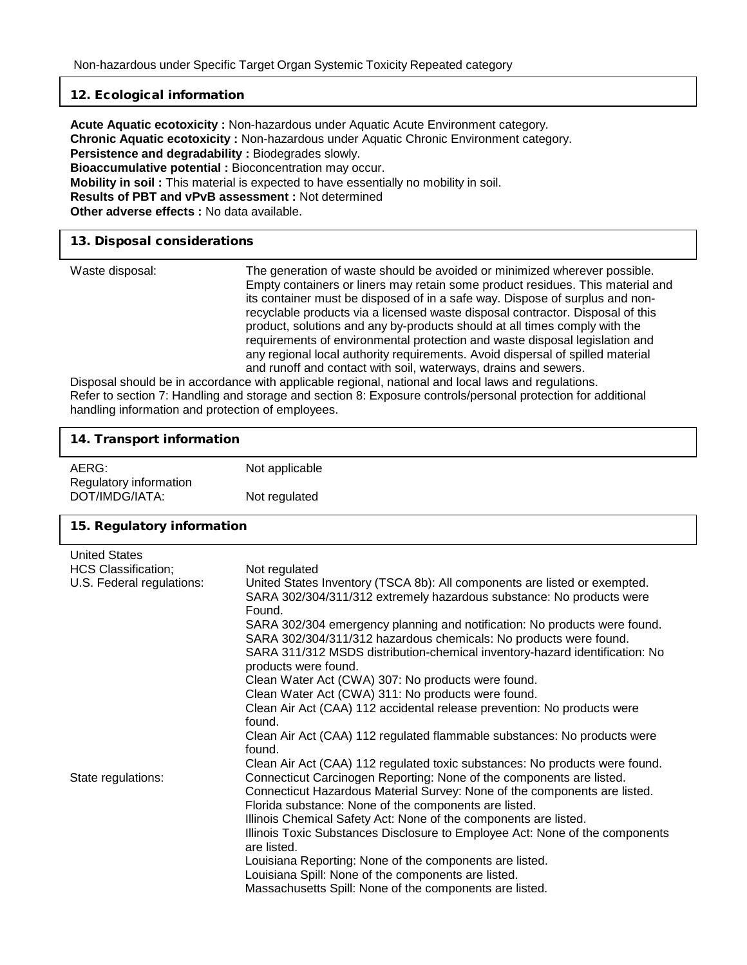## 12. Ecological information

**Acute Aquatic ecotoxicity :** Non-hazardous under Aquatic Acute Environment category. **Chronic Aquatic ecotoxicity :** Non-hazardous under Aquatic Chronic Environment category. **Persistence and degradability :** Biodegrades slowly. **Bioaccumulative potential :** Bioconcentration may occur. **Mobility in soil :** This material is expected to have essentially no mobility in soil. **Results of PBT and vPvB assessment :** Not determined **Other adverse effects :** No data available.

## 13. Disposal considerations

Waste disposal: The generation of waste should be avoided or minimized wherever possible. Empty containers or liners may retain some product residues. This material and its container must be disposed of in a safe way. Dispose of surplus and nonrecyclable products via a licensed waste disposal contractor. Disposal of this product, solutions and any by-products should at all times comply with the requirements of environmental protection and waste disposal legislation and any regional local authority requirements. Avoid dispersal of spilled material and runoff and contact with soil, waterways, drains and sewers.

Disposal should be in accordance with applicable regional, national and local laws and regulations. Refer to section 7: Handling and storage and section 8: Exposure controls/personal protection for additional handling information and protection of employees.

| 14. Transport information                                                       |                                                                                                                                                                                                                                                                                                                                                                                                                                                                                                                                                                                                                                           |  |
|---------------------------------------------------------------------------------|-------------------------------------------------------------------------------------------------------------------------------------------------------------------------------------------------------------------------------------------------------------------------------------------------------------------------------------------------------------------------------------------------------------------------------------------------------------------------------------------------------------------------------------------------------------------------------------------------------------------------------------------|--|
| AERG:<br>Regulatory information                                                 | Not applicable                                                                                                                                                                                                                                                                                                                                                                                                                                                                                                                                                                                                                            |  |
| DOT/IMDG/IATA:                                                                  | Not regulated                                                                                                                                                                                                                                                                                                                                                                                                                                                                                                                                                                                                                             |  |
| 15. Regulatory information                                                      |                                                                                                                                                                                                                                                                                                                                                                                                                                                                                                                                                                                                                                           |  |
| <b>United States</b><br><b>HCS Classification;</b><br>U.S. Federal regulations: | Not regulated<br>United States Inventory (TSCA 8b): All components are listed or exempted.<br>SARA 302/304/311/312 extremely hazardous substance: No products were                                                                                                                                                                                                                                                                                                                                                                                                                                                                        |  |
|                                                                                 | Found.<br>SARA 302/304 emergency planning and notification: No products were found.<br>SARA 302/304/311/312 hazardous chemicals: No products were found.<br>SARA 311/312 MSDS distribution-chemical inventory-hazard identification: No<br>products were found.<br>Clean Water Act (CWA) 307: No products were found.<br>Clean Water Act (CWA) 311: No products were found.<br>Clean Air Act (CAA) 112 accidental release prevention: No products were<br>found.<br>Clean Air Act (CAA) 112 regulated flammable substances: No products were<br>found.                                                                                    |  |
| State regulations:                                                              | Clean Air Act (CAA) 112 regulated toxic substances: No products were found.<br>Connecticut Carcinogen Reporting: None of the components are listed.<br>Connecticut Hazardous Material Survey: None of the components are listed.<br>Florida substance: None of the components are listed.<br>Illinois Chemical Safety Act: None of the components are listed.<br>Illinois Toxic Substances Disclosure to Employee Act: None of the components<br>are listed.<br>Louisiana Reporting: None of the components are listed.<br>Louisiana Spill: None of the components are listed.<br>Massachusetts Spill: None of the components are listed. |  |